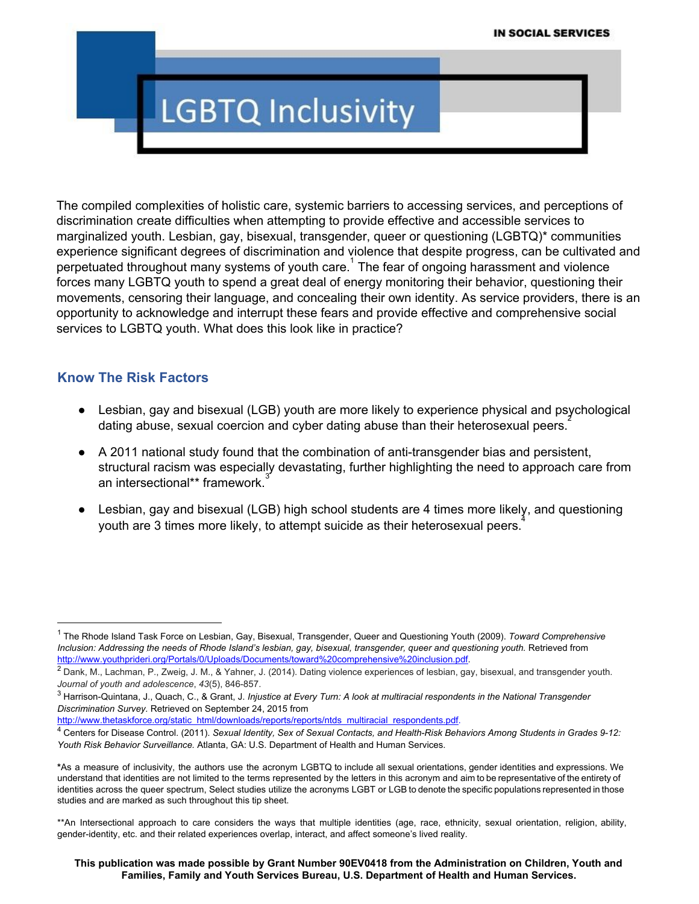# **LGBTQ Inclusivity**

The compiled complexities of holistic care, systemic barriers to accessing services, and perceptions of discrimination create difficulties when attempting to provide effective and accessible services to marginalized youth. Lesbian, gay, bisexual, transgender, queer or questioning (LGBTQ)\* communities experience significant degrees of discrimination and violence that despite progress, can be cultivated and perpetuated throughout many systems of youth care.<sup>1</sup> The fear of ongoing harassment and violence forces many LGBTQ youth to spend a great deal of energy monitoring their behavior, questioning their movements, censoring their language, and concealing their own identity. As service providers, there is an opportunity to acknowledge and interrupt these fears and provide effective and comprehensive social services to LGBTQ youth. What does this look like in practice?

#### **Know The Risk Factors**

- Lesbian, gay and bisexual (LGB) youth are more likely to experience physical and psychological dating abuse, sexual coercion and cyber dating abuse than their heterosexual peers.<sup>2</sup>
- A 2011 national study found that the combination of anti-transgender bias and persistent, structural racism was especially devastating, further highlighting the need to approach care from an intersectional\*\* framework.
- Lesbian, gay and bisexual (LGB) high school students are 4 times more likely, and questioning youth are 3 times more likely, to attempt suicide as their heterosexual peers.<sup>4</sup>

[http://www.thetaskforce.org/static\\_html/downloads/reports/reports/ntds\\_multiracial\\_respondents.pdf.](http://www.thetaskforce.org/static_html/downloads/reports/reports/ntds_multiracial_respondents.pdf)

<sup>1</sup> The Rhode Island Task Force on Lesbian, Gay, Bisexual, Transgender, Queer and Questioning Youth (2009). *Toward Comprehensive* Inclusion: Addressing the needs of Rhode Island's lesbian, gay, bisexual, transgender, queer and questioning youth. Retrieved fro[m](http://www.youthprideri.org/Portals/0/Uploads/Documents/toward%20comprehensive%20inclusion.pdf) <http://www.youthprideri.org/Portals/0/Uploads/Documents/toward%20comprehensive%20inclusion.pdf>.

<sup>&</sup>lt;sup>2</sup> Dank, M., Lachman, P., Zweig, J. M., & Yahner, J. (2014). Dating violence experiences of lesbian, gay, bisexual, and transgender youth. *Journal* of youth and adolescence, 43(5), 846-857.

<sup>&</sup>lt;sup>3</sup> Harrison-Quintana, J., Quach, C., & Grant, J. Injustice at Ev[er](http://www.thetaskforce.org/static_html/downloads/reports/reports/ntds_multiracial_respondents.pdf)y Turn: A look at multiracial respondents in the National Transgender *Discrimination Survey.* Retrieved on September 24, 2015 from

<sup>4</sup> Centers for Disease Control. (2011). Sexual Identity, Sex of Sexual Contacts, and Health-Risk Behaviors Among Students in Grades 9-12: *Youth Risk Behavior Surveillance.* Atlanta, GA: U.S. Department of Health and Human Services.

**<sup>\*</sup>**As a measure of inclusivity, the authors use the acronym LGBTQ to include all sexual orientations, gender identities and expressions. We understand that identities are not limited to the terms represented by the letters in this acronym and aim to be representative of the entirety of identities across the queer spectrum, Select studies utilize the acronyms LGBT or LGB to denote the specific populations represented in those studies and are marked as such throughout this tip sheet.

<sup>\*\*</sup>An Intersectional approach to care considers the ways that multiple identities (age, race, ethnicity, sexual orientation, religion, ability, genderidentity, etc. and their related experiences overlap, interact, and affect someone's lived reality.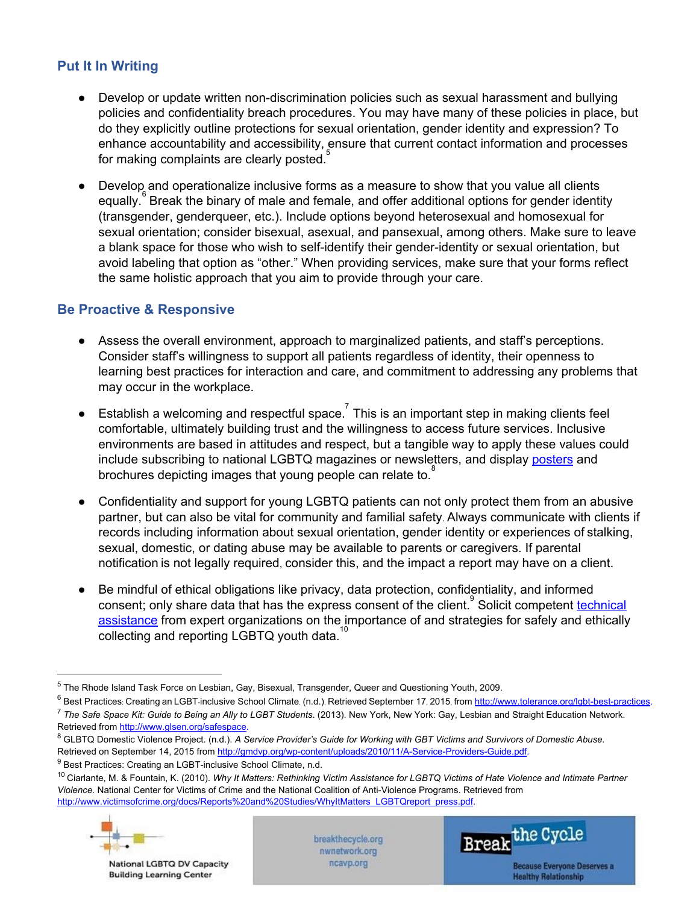# **Put It In Writing**

- Develop or update written non-discrimination policies such as sexual harassment and bullying policies and confidentiality breach procedures. You may have many of these policies in place, but do they explicitly outline protections for sexual orientation, gender identity and expression? To enhance accountability and accessibility, ensure that current contact information and processes for making complaints are clearly posted.<sup>5</sup>
- Develop and operationalize inclusive forms as a measure to show that you value all clients equally.<sup>6</sup> Break the binary of male and female, and offer additional options for gender identity (transgender, genderqueer, etc.). Include options beyond heterosexual and homosexual for sexual orientation; consider bisexual, asexual, and pansexual, among others. Make sure to leave a blank space for those who wish to self-identify their gender-identity or sexual orientation, but avoid labeling that option as "other." When providing services, make sure that your forms reflect the same holistic approach that you aim to provide through your care.

### **Be Proactive & Responsive**

- Assess the overall environment, approach to marginalized patients, and staff's perceptions. Consider staff's willingness to support all patients regardless of identity, their openness to learning best practices for interaction and care, and commitment to addressing any problems that may occur in the workplace.
- **•** Establish a welcoming and respectful space.<sup>7</sup> This is an important step in making clients feel comfortable, ultimately building trust and the willingness to access future services. Inclusive environments are based in attitudes and respect, but a tangible way to apply these values could include subscribing to national LGBTQ magazines or newsletters, and display [posters](http://www.tolerance.org/sites/default/files/general/LGBT%20Best%20Practices%20poster%5b1%5d.pdf) and brochures depicting images that young people can relate to.<sup>8</sup>
- Confidentiality and support for young LGBTQ patients can not only protect them from an abusive partner, but can also be vital for community and familial safety. Always communicate with clients if records including information about sexual orientation, gender identity or experiences of stalking, sexual, domestic, or dating abuse may be available to parents or caregivers. If parental notification is not legally required, consider this, and the impact a report may have on a client.
- Be mindful of ethical obligations like privacy, data protection, confidentiality, and informed consent; only share data that has the express consent of the client. Solicit competent [technical](http://nwnetwork.org/what-we-do/training-and-technical-assistance/) [assistance](http://nwnetwork.org/what-we-do/training-and-technical-assistance/) from expert organizations on the importance of and strategies for safely and ethically  $\overline{\text{collecting}}$  and reporting LGBTQ youth data.<sup>10</sup>

<sup>8</sup> GLBTQ Domestic Violence Project. (n.d.). A Service Provider's Guide for Working with GBT Victims and Survivors of Domestic Abuse. Retrieved on Septe[m](http://gmdvp.org/wp-content/uploads/2010/11/A-Service-Providers-Guide.pdf)ber 14, 2015 from http://gmdvp.org/wp-content/uploads/2010/11/A-Service-Providers-Guide.pdf.

 $9$  Best Practices: Creating an LGBT-inclusive School Climate, n.d.

<sup>&</sup>lt;sup>10</sup> Ciarlante, M. & Fountain, K. (2010). Why It Matters: Rethinking Victim Assistance for LGBTQ Victims of Hate Violence and Intimate Partner Violence. National Center for Victi[m](http://www.victimsofcrime.org/docs/Reports%20and%20Studies/WhyItMatters_LGBTQreport_press.pdf)s of Crime and the National Coalition of Anti-Violence Programs. Retrieved from [http://www.victimsofcrime.org/docs/Reports%20and%20Studies/WhyItMatters\\_LGBTQreport\\_press.pdf.](http://www.victimsofcrime.org/docs/Reports%20and%20Studies/WhyItMatters_LGBTQreport_press.pdf)



National LGBTQ DV Capacity **Building Learning Center** 

breakthecycle.org nwnetwork.org ncavp.org



<sup>5</sup> The Rhode Island Task Force on Lesbian, Gay, Bisexual, Transgender, Queer and Questioning Youth, 2009.

 $6$  Best Practices: Creating an LGBT-inclusive School Cli[m](http://www.tolerance.org/lgbt-best-practices)ate. (n.d.). Retrieved September 17, 2015, from http://www.tolerance.org/lgbt-best-practices. <sup>7</sup> *The Safe Space Kit: Guide to Being an Ally to LGBT Students*. (2013). New York, New York: Gay, Lesbian and Straight Education Network. Retrieved fro[m](http://www.glsen.org/safespace) [http://www.glsen.org/safespace.](http://www.glsen.org/safespace)